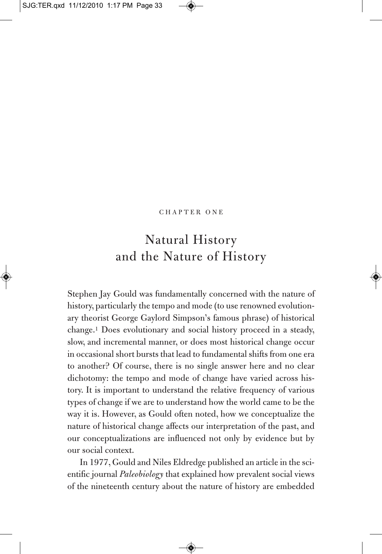C H A P T E R O N E

## Natural History and the Nature of History

Stephen Jay Gould was fundamentally concerned with the nature of history, particularly the tempo and mode (to use renowned evolutionary theorist George Gaylord Simpson's famous phrase) of historical change.1 Does evolutionary and social history proceed in a steady, slow, and incremental manner, or does most historical change occur in occasional short bursts that lead to fundamental shifts from one era to another? Of course, there is no single answer here and no clear dichotomy: the tempo and mode of change have varied across history. It is important to understand the relative frequency of various types of change if we are to understand how the world came to be the way it is. However, as Gould often noted, how we conceptualize the nature of historical change affects our interpretation of the past, and our conceptualizations are influenced not only by evidence but by our social context.

In 1977, Gould and Niles Eldredge published an article in the scientific journal *Paleobiology* that explained how prevalent social views of the nineteenth century about the nature of history are embedded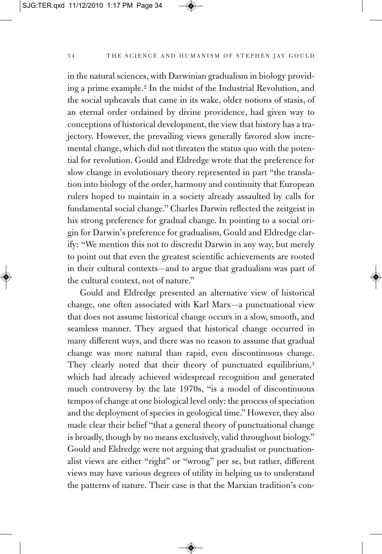in the natural sciences, with Darwinian gradualism in biology providing a prime example.2 In the midst of the Industrial Revolution, and the social upheavals that came in its wake, older notions of stasis, of an eternal order ordained by divine providence, had given way to conceptions of historical development, the view that history has a trajectory. However, the prevailing views generally favored slow incremental change, which did not threaten the status quo with the potential for revolution. Gould and Eldredge wrote that the preference for slow change in evolutionary theory represented in part "the translation into biology of the order, harmony and continuity that European rulers hoped to maintain in a society already assaulted by calls for fundamental social change." Charles Darwin reflected the zeitgeist in his strong preference for gradual change. In pointing to a social origin for Darwin's preference for gradualism, Gould and Eldredge clarify: "We mention this not to discredit Darwin in any way, but merely to point out that even the greatest scientific achievements are rooted in their cultural contexts—and to argue that gradualism was part of the cultural context, not of nature."

Gould and Eldredge presented an alternative view of historical change, one often associated with Karl Marx—a punctuational view that does not assume historical change occurs in a slow, smooth, and seamless manner. They argued that historical change occurred in many different ways, and there was no reason to assume that gradual change was more natural than rapid, even discontinuous change. They clearly noted that their theory of punctuated equilibrium,<sup>3</sup> which had already achieved widespread recognition and generated much controversy by the late 1970s, "is a model of discontinuous tempos of change at one biological level only: the process of speciation and the deployment of species in geological time." However, they also made clear their belief "that a general theory of punctuational change is broadly, though by no means exclusively, valid throughout biology." Gould and Eldredge were not arguing that gradualist or punctuationalist views are either "right" or "wrong" per se, but rather, different views may have various degrees of utility in helping us to understand the patterns of nature. Their case is that the Marxian tradition's con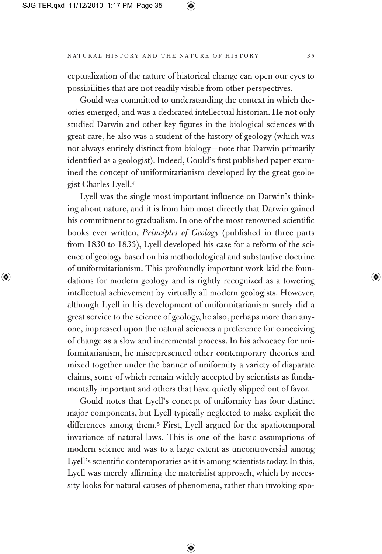ceptualization of the nature of historical change can open our eyes to possibilities that are not readily visible from other perspectives.

Gould was committed to understanding the context in which theories emerged,and was a dedicated intellectual historian. He not only studied Darwin and other key figures in the biological sciences with great care, he also was a student of the history of geology (which was not always entirely distinct from biology—note that Darwin primarily identified as a geologist).Indeed, Gould's first published paper examined the concept of uniformitarianism developed by the great geologist Charles Lyell.4

Lyell was the single most important influence on Darwin's thinking about nature, and it is from him most directly that Darwin gained his commitment to gradualism.In one of the most renowned scientific books ever written, *Principles of Geology* (published in three parts from 1830 to 1833), Lyell developed his case for a reform of the science of geology based on his methodological and substantive doctrine of uniformitarianism. This profoundly important work laid the foundations for modern geology and is rightly recognized as a towering intellectual achievement by virtually all modern geologists. However, although Lyell in his development of uniformitarianism surely did a great service to the science of geology, he also, perhaps more than anyone, impressed upon the natural sciences a preference for conceiving of change as a slow and incremental process. In his advocacy for uniformitarianism, he misrepresented other contemporary theories and mixed together under the banner of uniformity a variety of disparate claims, some of which remain widely accepted by scientists as fundamentally important and others that have quietly slipped out of favor.

Gould notes that Lyell's concept of uniformity has four distinct major components, but Lyell typically neglected to make explicit the differences among them.5 First, Lyell argued for the spatiotemporal invariance of natural laws. This is one of the basic assumptions of modern science and was to a large extent as uncontroversial among Lyell's scientific contemporaries as it is among scientists today. In this, Lyell was merely affirming the materialist approach, which by necessity looks for natural causes of phenomena, rather than invoking spo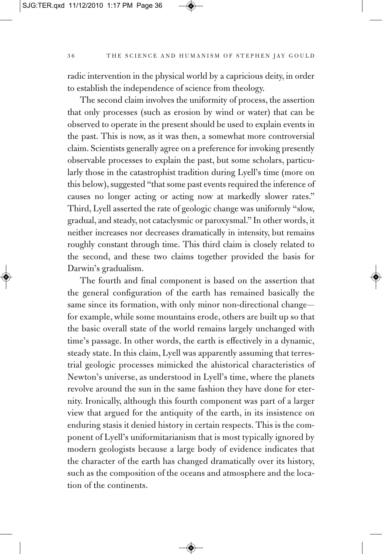radic intervention in the physical world by a capricious deity, in order to establish the independence of science from theology.

The second claim involves the uniformity of process, the assertion that only processes (such as erosion by wind or water) that can be observed to operate in the present should be used to explain events in the past. This is now, as it was then, a somewhat more controversial claim. Scientists generally agree on a preference for invoking presently observable processes to explain the past, but some scholars, particularly those in the catastrophist tradition during Lyell's time (more on this below), suggested "that some past events required the inference of causes no longer acting or acting now at markedly slower rates." Third, Lyell asserted the rate of geologic change was uniformly "slow, gradual, and steady, not cataclysmic or paroxysmal." In other words, it neither increases nor decreases dramatically in intensity, but remains roughly constant through time. This third claim is closely related to the second, and these two claims together provided the basis for Darwin's gradualism.

The fourth and final component is based on the assertion that the general configuration of the earth has remained basically the same since its formation, with only minor non-directional change for example, while some mountains erode, others are built up so that the basic overall state of the world remains largely unchanged with time's passage. In other words, the earth is effectively in a dynamic, steady state. In this claim, Lyell was apparently assuming that terrestrial geologic processes mimicked the ahistorical characteristics of Newton's universe, as understood in Lyell's time, where the planets revolve around the sun in the same fashion they have done for eternity. Ironically, although this fourth component was part of a larger view that argued for the antiquity of the earth, in its insistence on enduring stasis it denied history in certain respects.This is the component of Lyell's uniformitarianism that is most typically ignored by modern geologists because a large body of evidence indicates that the character of the earth has changed dramatically over its history, such as the composition of the oceans and atmosphere and the location of the continents.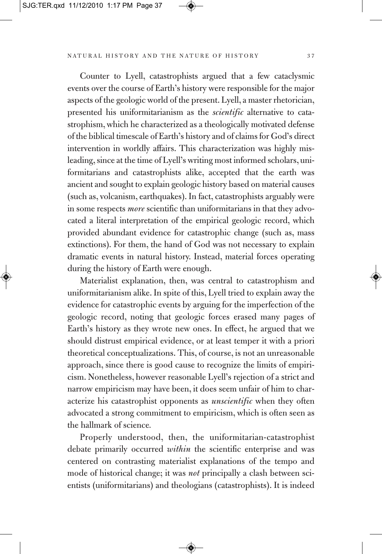Counter to Lyell, catastrophists argued that a few cataclysmic events over the course of Earth's history were responsible for the major aspects of the geologic world of the present.Lyell,a master rhetorician, presented his uniformitarianism as the *scientific* alternative to catastrophism, which he characterized as a theologically motivated defense of the biblical timescale of Earth's history and of claims for God's direct intervention in worldly affairs. This characterization was highly misleading, since at the time of Lyell's writing most informed scholars, uniformitarians and catastrophists alike, accepted that the earth was ancient and sought to explain geologic history based on material causes (such as, volcanism, earthquakes). In fact, catastrophists arguably were in some respects *more* scientific than uniformitarians in that they advocated a literal interpretation of the empirical geologic record, which provided abundant evidence for catastrophic change (such as, mass extinctions). For them, the hand of God was not necessary to explain dramatic events in natural history. Instead, material forces operating during the history of Earth were enough.

Materialist explanation, then, was central to catastrophism and uniformitarianism alike.In spite of this, Lyell tried to explain away the evidence for catastrophic events by arguing for the imperfection of the geologic record, noting that geologic forces erased many pages of Earth's history as they wrote new ones. In effect, he argued that we should distrust empirical evidence, or at least temper it with a priori theoretical conceptualizations.This, of course, is not an unreasonable approach, since there is good cause to recognize the limits of empiricism.Nonetheless, however reasonable Lyell's rejection of a strict and narrow empiricism may have been, it does seem unfair of him to characterize his catastrophist opponents as *unscientific* when they often advocated a strong commitment to empiricism, which is often seen as the hallmark of science*.*

Properly understood, then, the uniformitarian-catastrophist debate primarily occurred *within* the scientific enterprise and was centered on contrasting materialist explanations of the tempo and mode of historical change; it was *not* principally a clash between scientists (uniformitarians) and theologians (catastrophists). It is indeed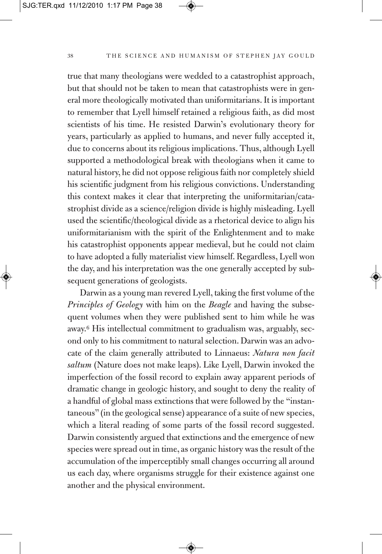true that many theologians were wedded to a catastrophist approach, but that should not be taken to mean that catastrophists were in general more theologically motivated than uniformitarians.It is important to remember that Lyell himself retained a religious faith, as did most scientists of his time. He resisted Darwin's evolutionary theory for years, particularly as applied to humans, and never fully accepted it, due to concerns about its religious implications. Thus, although Lyell supported a methodological break with theologians when it came to natural history, he did not oppose religious faith nor completely shield his scientific judgment from his religious convictions. Understanding this context makes it clear that interpreting the uniformitarian/catastrophist divide as a science/religion divide is highly misleading. Lyell used the scientific/theological divide as a rhetorical device to align his uniformitarianism with the spirit of the Enlightenment and to make his catastrophist opponents appear medieval, but he could not claim to have adopted a fully materialist view himself. Regardless, Lyell won the day, and his interpretation was the one generally accepted by subsequent generations of geologists.

Darwin asa young man revered Lyell, taking the first volume of the *Principles of Geology* with him on the *Beagle* and having the subsequent volumes when they were published sent to him while he was away.6 His intellectual commitment to gradualism was, arguably, second only to his commitment to natural selection. Darwin was an advocate of the claim generally attributed to Linnaeus: *Natura non facit saltum* (Nature does not make leaps). Like Lyell, Darwin invoked the imperfection of the fossil record to explain away apparent periods of dramatic change in geologic history, and sought to deny the reality of a handful of global mass extinctions that were followed by the "instantaneous" (in the geological sense) appearance of a suite of new species, which a literal reading of some parts of the fossil record suggested. Darwin consistently argued that extinctionsand the emergence of new species were spread out in time, as organic history was the result of the accumulation of the imperceptibly small changes occurring all around us each day, where organisms struggle for their existence against one another and the physical environment.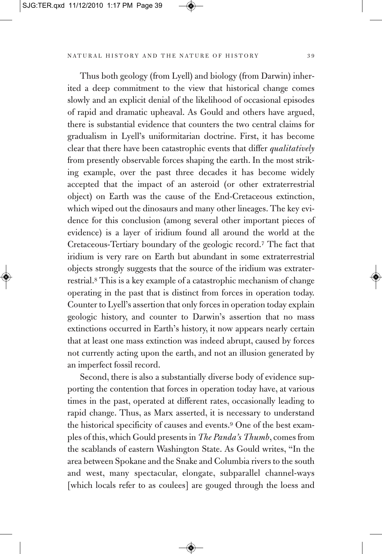Thus both geology (from Lyell) and biology (from Darwin) inherited a deep commitment to the view that historical change comes slowly and an explicit denial of the likelihood of occasional episodes of rapid and dramatic upheaval. As Gould and others have argued, there is substantial evidence that counters the two central claims for gradualism in Lyell's uniformitarian doctrine. First, it has become clear that there have been catastrophic events that differ *qualitatively* from presently observable forces shaping the earth. In the most striking example, over the past three decades it has become widely accepted that the impact of an asteroid (or other extraterrestrial object) on Earth was the cause of the End-Cretaceous extinction, which wiped out the dinosaurs and many other lineages. The key evidence for this conclusion (among several other important pieces of evidence) is a layer of iridium found all around the world at the Cretaceous-Tertiary boundary of the geologic record.7 The fact that iridium is very rare on Earth but abundant in some extraterrestrial objects strongly suggests that the source of the iridium was extraterrestrial.8 This is a key example of a catastrophic mechanism of change operating in the past that is distinct from forces in operation today. Counter to Lyell's assertion that only forces in operation today explain geologic history, and counter to Darwin's assertion that no mass extinctions occurred in Earth's history, it now appears nearly certain that at least one mass extinction was indeed abrupt, caused by forces not currently acting upon the earth, and not an illusion generated by an imperfect fossil record.

Second, there is also a substantially diverse body of evidence supporting the contention that forces in operation today have, at various times in the past, operated at different rates, occasionally leading to rapid change. Thus, as Marx asserted, it is necessary to understand the historical specificity of causes and events.9 One of the best examples of this,which Gould presents in *The Panda's Thumb*, comes from the scablands of eastern Washington State. As Gould writes, "In the area between Spokane and the Snake and Columbia rivers to the south and west, many spectacular, elongate, subparallel channel-ways [which locals refer to as coulees] are gouged through the loess and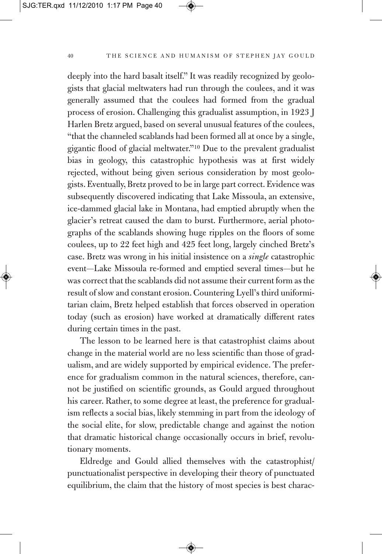deeply into the hard basalt itself." It was readily recognized by geologists that glacial meltwaters had run through the coulees, and it was generally assumed that the coulees had formed from the gradual process of erosion. Challenging this gradualist assumption, in 1923 J Harlen Bretz argued, based on several unusual features of the coulees, "that the channeled scablands had been formed all at once by a single, gigantic flood of glacial meltwater."10 Due to the prevalent gradualist bias in geology, this catastrophic hypothesis was at first widely rejected, without being given serious consideration by most geologists.Eventually,Bretz proved to be in large part correct.Evidence was subsequently discovered indicating that Lake Missoula, an extensive, ice-dammed glacial lake in Montana, had emptied abruptly when the glacier's retreat caused the dam to burst. Furthermore, aerial photographs of the scablands showing huge ripples on the floors of some coulees, up to 22 feet high and 425 feet long, largely cinched Bretz's case. Bretz was wrong in his initial insistence on a *single* catastrophic event—Lake Missoula re-formed and emptied several times—but he was correct that the scablands did not assume their current form as the result of slow and constant erosion.Countering Lyell's third uniformitarian claim, Bretz helped establish that forces observed in operation today (such as erosion) have worked at dramatically different rates during certain times in the past.

The lesson to be learned here is that catastrophist claims about change in the material world are no less scientific than those of gradualism, and are widely supported by empirical evidence. The preference for gradualism common in the natural sciences, therefore, cannot be justified on scientific grounds, as Gould argued throughout his career. Rather, to some degree at least, the preference for gradualism reflects a social bias, likely stemming in part from the ideology of the social elite, for slow, predictable change and against the notion that dramatic historical change occasionally occurs in brief, revolutionary moments.

Eldredge and Gould allied themselves with the catastrophist/ punctuationalist perspective in developing their theory of punctuated equilibrium, the claim that the history of most species is best charac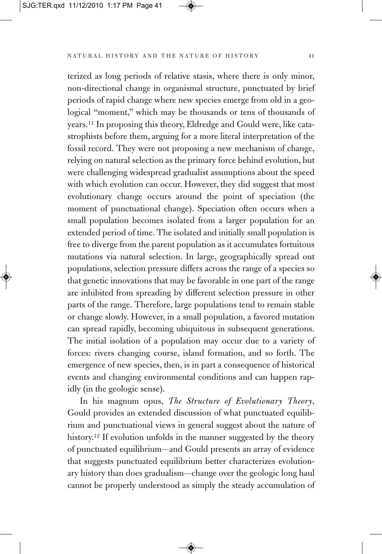terized as long periods of relative stasis, where there is only minor, non-directional change in organismal structure, punctuated by brief periods of rapid change where new species emerge from old in a geological "moment," which may be thousands or tens of thousands of years.11 In proposing this theory, Eldredge and Gould were, like catastrophists before them, arguing for a more literal interpretation of the fossil record. They were not proposing a new mechanism of change, relying on natural selection as the primary force behind evolution, but were challenging widespread gradualist assumptions about the speed with which evolution can occur. However, they did suggest that most evolutionary change occurs around the point of speciation (the moment of punctuational change). Speciation often occurs when a small population becomes isolated from a larger population for an extended period of time.The isolated and initially small population is free to diverge from the parent population as it accumulates fortuitous mutations via natural selection. In large, geographically spread out populations, selection pressure differs across the range of a species so that genetic innovations that may be favorable in one part of the range are inhibited from spreading by different selection pressure in other parts of the range. Therefore, large populations tend to remain stable or change slowly. However, in a small population, a favored mutation can spread rapidly, becoming ubiquitous in subsequent generations. The initial isolation of a population may occur due to a variety of forces: rivers changing course, island formation, and so forth. The emergence of new species, then, is in part a consequence of historical events and changing environmental conditions and can happen rapidly (in the geologic sense).

In his magnum opus, *The Structure of Evolutionary Theory*, Gould provides an extended discussion of what punctuated equilibrium and punctuational views in general suggest about the nature of history.<sup>12</sup> If evolution unfolds in the manner suggested by the theory of punctuated equilibrium—and Gould presents an array of evidence that suggests punctuated equilibrium better characterizes evolutionary history than does gradualism—change over the geologic long haul cannot be properly understood as simply the steady accumulation of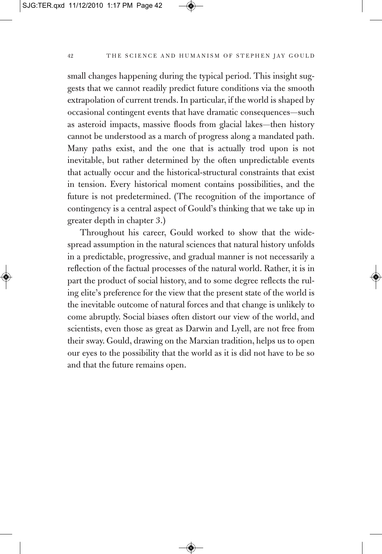small changes happening during the typical period. This insight suggests that we cannot readily predict future conditions via the smooth extrapolation of current trends.In particular, if the world is shaped by occasional contingent events that have dramatic consequences—such as asteroid impacts, massive floods from glacial lakes—then history cannot be understood as a march of progress along a mandated path. Many paths exist, and the one that is actually trod upon is not inevitable, but rather determined by the often unpredictable events that actually occur and the historical-structural constraints that exist in tension. Every historical moment contains possibilities, and the future is not predetermined. (The recognition of the importance of contingency is a central aspect of Gould's thinking that we take up in greater depth in chapter 3.)

Throughout his career, Gould worked to show that the widespread assumption in the natural sciences that natural history unfolds in a predictable, progressive, and gradual manner is not necessarily a reflection of the factual processes of the natural world. Rather, it is in part the product of social history, and to some degree reflects the ruling elite's preference for the view that the present state of the world is the inevitable outcome of natural forces and that change is unlikely to come abruptly. Social biases often distort our view of the world, and scientists, even those as great as Darwin and Lyell, are not free from their sway. Gould, drawing on the Marxian tradition, helps us to open our eyes to the possibility that the world as it is did not have to be so and that the future remains open.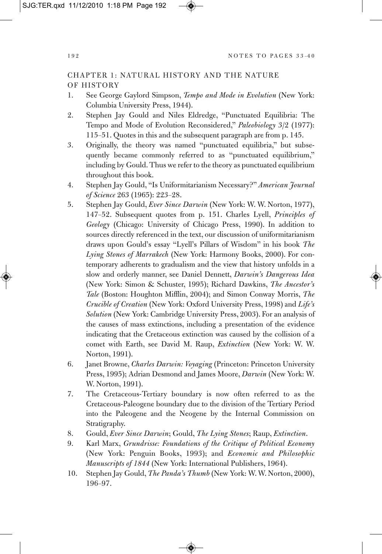## CHAPTER 1: NATURAL HISTORY AND THE NATURE OF HISTORY

- 1. See George Gaylord Simpson, *Tempo and Mode in Evolution* (New York: Columbia University Press, 1944).
- 2. Stephen Jay Gould and Niles Eldredge, "Punctuated Equilibria: The Tempo and Mode of Evolution Reconsidered," *Paleobiology* 3/2 (1977): 115–51. Quotes in this and the subsequent paragraph are from p. 145.
- 3. Originally, the theory was named "punctuated equilibria," but subsequently became commonly referred to as "punctuated equilibrium," including by Gould.Thus we refer to the theory as punctuated equilibrium throughout this book.
- 4. Stephen Jay Gould, "Is Uniformitarianism Necessary?" *American Journal of Science* 263 (1965): 223–28.
- 5. Stephen Jay Gould, *Ever Since Darwin* (New York: W. W. Norton, 1977), 147–52. Subsequent quotes from p. 151. Charles Lyell, *Principles of Geology* (Chicago: University of Chicago Press, 1990). In addition to sources directly referenced in the text, our discussion of uniformitarianism draws upon Gould's essay "Lyell's Pillars of Wisdom" in his book *The Lying Stones of Marrakech* (New York: Harmony Books, 2000). For contemporary adherents to gradualism and the view that history unfolds in a slow and orderly manner, see Daniel Dennett, *Darwin's Dangerous Idea* (New York: Simon & Schuster, 1995); Richard Dawkins, *The Ancestor's Tale* (Boston: Houghton Mifflin, 2004); and Simon Conway Morris, *The Crucible of Creation* (New York: Oxford University Press, 1998) and *Life's Solution* (New York: Cambridge University Press, 2003). For an analysis of the causes of mass extinctions, including a presentation of the evidence indicating that the Cretaceous extinction was caused by the collision of a comet with Earth, see David M. Raup, *Extinction* (New York: W. W. Norton, 1991).
- 6. Janet Browne, *Charles Darwin: Voyaging* (Princeton: Princeton University Press, 1995); Adrian Desmond and James Moore, *Darwin* (New York: W. W. Norton, 1991).
- 7. The Cretaceous-Tertiary boundary is now often referred to as the Cretaceous-Paleogene boundary due to the division of the Tertiary Period into the Paleogene and the Neogene by the Internal Commission on Stratigraphy.
- 8. Gould, *Ever Since Darwin*; Gould, *The Lying Stones*; Raup, *Extinction*.
- 9. Karl Marx, *Grundrisse: Foundations of the Critique of Political Economy* (New York: Penguin Books, 1993); and *Economic and Philosophic Manuscripts of 1844* (New York: International Publishers, 1964).
- 10. Stephen Jay Gould,*The Panda's Thumb* (New York: W. W.Norton, 2000), 196–97.